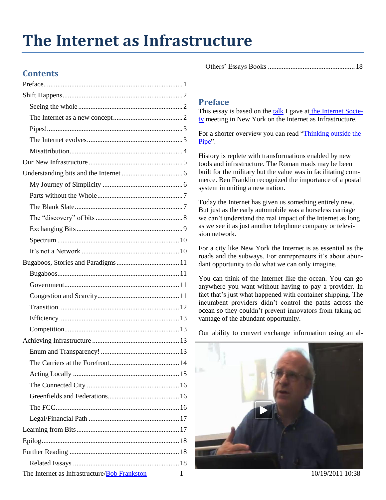# **The Internet as Infrastructure**

# **Contents**

|--|--|

## <span id="page-0-0"></span>**Preface**

This essay is based on the [talk](http://rmf.vc/ISOCInternetAsInfrastructure?x=iai) I gave at [the Internet Socie](http://isoc.org/)[ty](http://isoc.org/) meeting in New York on the Internet as Infrastructure.

For a shorter overview you can read ["Thinking outside](http://rmf.vc/ThinkingOutsideThePipe?x=iai) the [Pipe"](http://rmf.vc/ThinkingOutsideThePipe?x=iai).

History is replete with transformations enabled by new tools and infrastructure. The Roman roads may be been built for the military but the value was in facilitating commerce. Ben Franklin recognized the importance of a postal system in uniting a new nation.

Today the Internet has given us something entirely new. But just as the early automobile was a horseless carriage we can't understand the real impact of the Internet as long as we see it as just another telephone company or television network.

For a city like New York the Internet is as essential as the roads and the subways. For entrepreneurs it's about abundant opportunity to do what we can only imagine.

You can think of the Internet like the ocean. You can go anywhere you want without having to pay a provider. In fact that's just what happened with container shipping. The incumbent providers didn't control the paths across the ocean so they couldn't prevent innovators from taking advantage of the abundant opportunity.

Our ability to convert exchange information using an al-



The Internet as Infrastructure/Bob Frankston 1 10/19/2011 10:38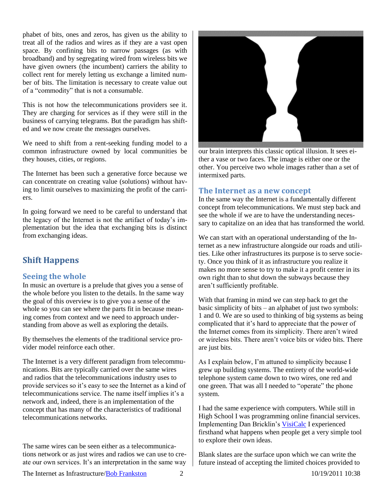phabet of bits, ones and zeros, has given us the ability to treat all of the radios and wires as if they are a vast open space. By confining bits to narrow passages (as with broadband) and by segregating wired from wireless bits we have given owners (the incumbent) carriers the ability to collect rent for merely letting us exchange a limited number of bits. The limitation is necessary to create value out of a "commodity" that is not a consumable.

This is not how the telecommunications providers see it. They are charging for services as if they were still in the business of carrying telegrams. But the paradigm has shifted and we now create the messages ourselves.

We need to shift from a rent-seeking funding model to a common infrastructure owned by local communities be they houses, cities, or regions.

The Internet has been such a generative force because we can concentrate on creating value (solutions) without having to limit ourselves to maximizing the profit of the carriers.

In going forward we need to be careful to understand that the legacy of the Internet is not the artifact of today's implementation but the idea that exchanging bits is distinct from exchanging ideas.

## <span id="page-1-0"></span>**Shift Happens**

### <span id="page-1-1"></span>**Seeing the whole**

In music an overture is a prelude that gives you a sense of the whole before you listen to the details. In the same way the goal of this overview is to give you a sense of the whole so you can see where the parts fit in because meaning comes from context and we need to approach understanding from above as well as exploring the details.

By themselves the elements of the traditional service provider model reinforce each other.

The Internet is a very different paradigm from telecommunications. Bits are typically carried over the same wires and radios that the telecommunications industry uses to provide services so it's easy to see the Internet as a kind of telecommunications service. The name itself implies it's a network and, indeed, there is an implementation of the concept that has many of the characteristics of traditional telecommunications networks.

The same wires can be seen either as a telecommunications network or as just wires and radios we can use to create our own services. It's an interpretation in the same way



our brain interprets this classic optical illusion. It sees either a vase or two faces. The image is either one or the other. You perceive two whole images rather than a set of intermixed parts.

#### <span id="page-1-2"></span>**The Internet as a new concept**

In the same way the Internet is a fundamentally different concept from telecommunications. We must step back and see the whole if we are to have the understanding necessary to capitalize on an idea that has transformed the world.

We can start with an operational understanding of the Internet as a new infrastructure alongside our roads and utilities. Like other infrastructures its purpose is to serve society. Once you think of it as infrastructure you realize it makes no more sense to try to make it a profit center in its own right than to shut down the subways because they aren't sufficiently profitable.

With that framing in mind we can step back to get the basic simplicity of bits – an alphabet of just two symbols: 1 and 0. We are so used to thinking of big systems as being complicated that it's hard to appreciate that the power of the Internet comes from its simplicity. There aren't wired or wireless bits. There aren't voice bits or video bits. There are just bits.

As I explain below, I'm attuned to simplicity because I grew up building systems. The entirety of the world-wide telephone system came down to two wires, one red and one green. That was all I needed to "operate" the phone system.

I had the same experience with computers. While still in High School I was programming online financial services. Implementing Dan Bricklin's [VisiCalc](http://bricklin.com/visicalc.htm) I experienced firsthand what happens when people get a very simple tool to explore their own ideas.

Blank slates are the surface upon which we can write the future instead of accepting the limited choices provided to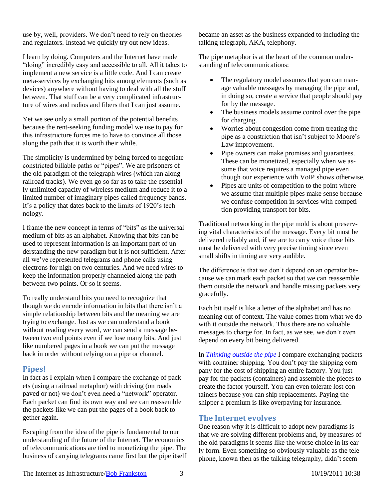use by, well, providers. We don't need to rely on theories and regulators. Instead we quickly try out new ideas.

I learn by doing. Computers and the Internet have made "doing" incredibly easy and accessible to all. All it takes to implement a new service is a little code. And I can create meta-services by exchanging bits among elements (such as devices) anywhere without having to deal with all the stuff between. That stuff can be a very complicated infrastructure of wires and radios and fibers that I can just assume.

Yet we see only a small portion of the potential benefits because the rent-seeking funding model we use to pay for this infrastructure forces me to have to convince all those along the path that it is worth their while.

The simplicity is undermined by being forced to negotiate constricted billable paths or "pipes". We are prisoners of the old paradigm of the telegraph wires (which ran along railroad tracks). We even go so far as to take the essentially unlimited capacity of wireless medium and reduce it to a limited number of imaginary pipes called frequency bands. It's a policy that dates back to the limits of 1920's technology.

I frame the new concept in terms of "bits" as the universal medium of bits as an alphabet. Knowing that bits can be used to represent information is an important part of understanding the new paradigm but it is not sufficient. After all we've represented telegrams and phone calls using electrons for nigh on two centuries. And we need wires to keep the information properly channeled along the path between two points. Or so it seems.

To really understand bits you need to recognize that though we do encode information in bits that there isn't a simple relationship between bits and the meaning we are trying to exchange. Just as we can understand a book without reading every word, we can send a message between two end points even if we lose many bits. And just like numbered pages in a book we can put the message back in order without relying on a pipe or channel.

#### <span id="page-2-0"></span>**Pipes!**

In fact as I explain when I compare the exchange of packets (using a railroad metaphor) with driving (on roads paved or not) we don't even need a "network" operator. Each packet can find its own way and we can reassemble the packets like we can put the pages of a book back together again.

Escaping from the idea of the pipe is fundamental to our understanding of the future of the Internet. The economics of telecommunications are tied to monetizing the pipe. The business of carrying telegrams came first but the pipe itself

became an asset as the business expanded to including the talking telegraph, AKA, telephony.

The pipe metaphor is at the heart of the common understanding of telecommunications:

- The regulatory model assumes that you can manage valuable messages by managing the pipe and, in doing so, create a service that people should pay for by the message.
- The business models assume control over the pipe for charging.
- Worries about congestion come from treating the pipe as a constriction that isn't subject to Moore's Law improvement.
- Pipe owners can make promises and guarantees. These can be monetized, especially when we assume that voice requires a managed pipe even though our experience with VoIP shows otherwise.
- Pipes are units of competition to the point where we assume that multiple pipes make sense because we confuse competition in services with competition providing transport for bits.

Traditional networking in the pipe mold is about preserving vital characteristics of the message. Every bit must be delivered reliably and, if we are to carry voice those bits must be delivered with very precise timing since even small shifts in timing are very audible.

The difference is that we don't depend on an operator because we can mark each packet so that we can reassemble them outside the network and handle missing packets very gracefully.

Each bit itself is like a letter of the alphabet and has no meaning out of context. The value comes from what we do with it outside the network. Thus there are no valuable messages to charge for. In fact, as we see, we don't even depend on every bit being delivered.

In *[Thinking outside the pipe](http://rmf.vc/ThinkingOutsideThePipe?x=iai)* I compare exchanging packets with container shipping. You don't pay the shipping company for the cost of shipping an entire factory. You just pay for the packets (containers) and assemble the pieces to create the factor yourself. You can even tolerate lost containers because you can ship replacements. Paying the shipper a premium is like overpaying for insurance.

#### <span id="page-2-1"></span>**The Internet evolves**

One reason why it is difficult to adopt new paradigms is that we are solving different problems and, by measures of the old paradigms it seems like the worse choice in its early form. Even something so obviously valuable as the telephone, known then as the talking telegraphy, didn't seem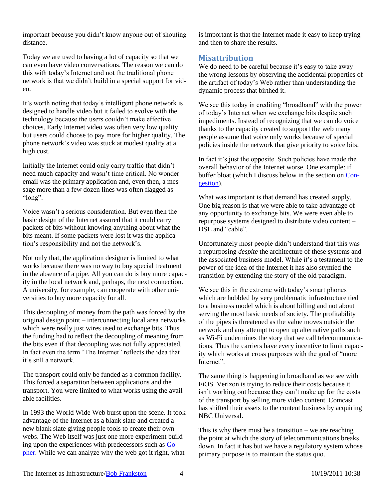important because you didn't know anyone out of shouting distance.

Today we are used to having a lot of capacity so that we can even have video conversations. The reason we can do this with today's Internet and not the traditional phone network is that we didn't build in a special support for video.

It's worth noting that today's intelligent phone network is designed to handle video but it failed to evolve with the technology because the users couldn't make effective choices. Early Internet video was often very low quality but users could choose to pay more for higher quality. The phone network's video was stuck at modest quality at a high cost.

Initially the Internet could only carry traffic that didn't need much capacity and wasn't time critical. No wonder email was the primary application and, even then, a message more than a few dozen lines was often flagged as "long".

Voice wasn't a serious consideration. But even then the basic design of the Internet assured that it could carry packets of bits without knowing anything about what the bits meant. If some packets were lost it was the application's responsibility and not the network's.

Not only that, the application designer is limited to what works because there was no way to buy special treatment in the absence of a pipe. All you can do is buy more capacity in the local network and, perhaps, the next connection. A university, for example, can cooperate with other universities to buy more capacity for all.

This decoupling of money from the path was forced by the original design point – interconnecting local area networks which were really just wires used to exchange bits. Thus the funding had to reflect the decoupling of meaning from the bits even if that decoupling was not fully appreciated. In fact even the term "The Internet" reflects the idea that it's still a network.

The transport could only be funded as a common facility. This forced a separation between applications and the transport. You were limited to what works using the available facilities.

In 1993 the World Wide Web burst upon the scene. It took advantage of the Internet as a blank slate and created a new blank slate giving people tools to create their own webs. The Web itself was just one more experiment building upon the experiences with predecessors such as [Go](http://en.wikipedia.org/wiki/Gopher)[pher.](http://en.wikipedia.org/wiki/Gopher) While we can analyze why the web got it right, what

is important is that the Internet made it easy to keep trying and then to share the results.

## <span id="page-3-0"></span>**Misattribution**

We do need to be careful because it's easy to take away the wrong lessons by observing the accidental properties of the artifact of today's Web rather than understanding the dynamic process that birthed it.

We see this today in crediting "broadband" with the power of today's Internet when we exchange bits despite such impediments. Instead of recognizing that we can do voice thanks to the capacity created to support the web many people assume that voice only works because of special policies inside the network that give priority to voice bits.

In fact it's just the opposite. Such policies have made the overall behavior of the Internet worse. One example: if buffer bloat (which I discuss below in the section on [Con](#page-10-3)[gestion\)](#page-10-3).

What was important is that demand has created supply. One big reason is that we were able to take advantage of any opportunity to exchange bits. We were even able to repurpose systems designed to distribute video content – DSL and "cable".

Unfortunately most people didn't understand that this was a repurposing *despite* the architecture of these systems and the associated business model. While it's a testament to the power of the idea of the Internet it has also stymied the transition by extending the story of the old paradigm.

We see this in the extreme with today's smart phones which are hobbled by very problematic infrastructure tied to a business model which is about billing and not about serving the most basic needs of society. The profitability of the pipes is threatened as the value moves outside the network and any attempt to open up alternative paths such as Wi-Fi undermines the story that we call telecommunications. Thus the carriers have every incentive to limit capacity which works at cross purposes with the goal of "more Internet".

The same thing is happening in broadband as we see with FiOS. Verizon is trying to reduce their costs because it isn't working out because they can't make up for the costs of the transport by selling more video content. Comcast has shifted their assets to the content business by acquiring NBC Universal.

This is why there must be a transition – we are reaching the point at which the story of telecommunications breaks down. In fact it has but we have a regulatory system whose primary purpose is to maintain the status quo.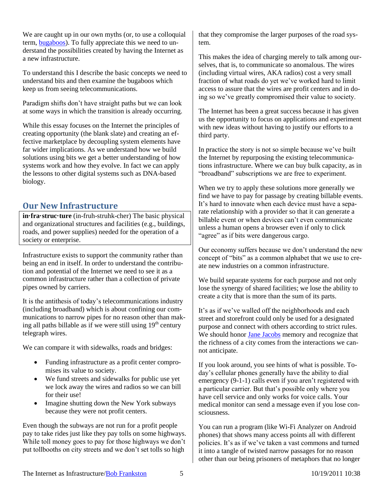We are caught up in our own myths (or, to use a colloquial term, [bugaboos\)](#page-10-0). To fully appreciate this we need to understand the possibilities created by having the Internet as a new infrastructure.

To understand this I describe the basic concepts we need to understand bits and then examine the bugaboos which keep us from seeing telecommunications.

Paradigm shifts don't have straight paths but we can look at some ways in which the transition is already occurring.

While this essay focuses on the Internet the principles of creating opportunity (the blank slate) and creating an effective marketplace by decoupling system elements have far wider implications. As we understand how we build solutions using bits we get a better understanding of how systems work and how they evolve. In fact we can apply the lessons to other digital systems such as DNA-based biology.

## <span id="page-4-0"></span>**Our New Infrastructure**

**in·fra·struc·ture** (in-fruh-struhk-cher) The basic physical and organizational structures and facilities (e.g., buildings, roads, and power supplies) needed for the operation of a society or enterprise.

Infrastructure exists to support the community rather than being an end in itself. In order to understand the contribution and potential of the Internet we need to see it as a common infrastructure rather than a collection of private pipes owned by carriers.

It is the antithesis of today's telecommunications industry (including broadband) which is about confining our communications to narrow pipes for no reason other than making all paths billable as if we were still using  $19<sup>th</sup>$  century telegraph wires.

We can compare it with sidewalks, roads and bridges:

- Funding infrastructure as a profit center compromises its value to society.
- We fund streets and sidewalks for public use yet we lock away the wires and radios so we can bill for their use!
- Imagine shutting down the New York subways because they were not profit centers.

Even though the subways are not run for a profit people pay to take rides just like they pay tolls on some highways. While toll money goes to pay for those highways we don't put tollbooths on city streets and we don't set tolls so high

that they compromise the larger purposes of the road system.

This makes the idea of charging merely to talk among ourselves, that is, to communicate so anomalous. The wires (including virtual wires, AKA radios) cost a very small fraction of what roads do yet we've worked hard to limit access to assure that the wires are profit centers and in doing so we've greatly compromised their value to society.

The Internet has been a great success because it has given us the opportunity to focus on applications and experiment with new ideas without having to justify our efforts to a third party.

In practice the story is not so simple because we've built the Internet by repurposing the existing telecommunications infrastructure. Where we can buy bulk capacity, as in "broadband" subscriptions we are free to experiment.

When we try to apply these solutions more generally we find we have to pay for passage by creating billable events. It's hard to innovate when each device must have a separate relationship with a provider so that it can generate a billable event or when devices can't even communicate unless a human opens a browser even if only to click "agree" as if bits were dangerous cargo.

Our economy suffers because we don't understand the new concept of "bits" as a common alphabet that we use to create new industries on a common infrastructure.

We build separate systems for each purpose and not only lose the synergy of shared facilities; we lose the ability to create a city that is more than the sum of its parts.

It's as if we've walled off the neighborhoods and each street and storefront could only be used for a designated purpose and connect with others according to strict rules. We should honor Jane [Jacobs](http://en.wikipedia.org/wiki/Jane_Jacobs) memory and recognize that the richness of a city comes from the interactions we cannot anticipate.

If you look around, you see hints of what is possible. Today's cellular phones generally have the ability to dial emergency (9-1-1) calls even if you aren't registered with a particular carrier. But that's possible only where you have cell service and only works for voice calls. Your medical monitor can send a message even if you lose consciousness.

You can run a program (like Wi-Fi Analyzer on Android phones) that shows many access points all with different policies. It's as if we've taken a vast commons and turned it into a tangle of twisted narrow passages for no reason other than our being prisoners of metaphors that no longer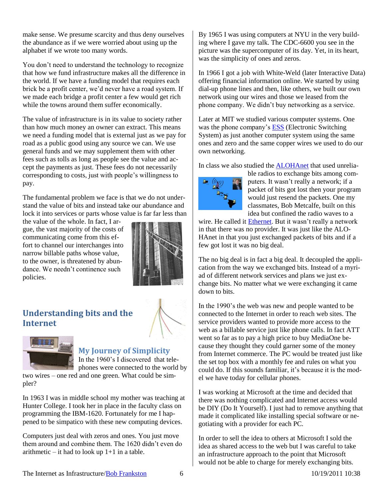make sense. We presume scarcity and thus deny ourselves the abundance as if we were worried about using up the alphabet if we wrote too many words.

You don't need to understand the technology to recognize that how we fund infrastructure makes all the difference in the world. If we have a funding model that requires each brick be a profit center, we'd never have a road system. If we made each bridge a profit center a few would get rich while the towns around them suffer economically.

The value of infrastructure is in its value to society rather than how much money an owner can extract. This means we need a funding model that is external just as we pay for road as a public good using any source we can. We use general funds and we may supplement them with other fees such as tolls as long as people see the value and accept the payments as just. These fees do not necessarily corresponding to costs, just with people's willingness to pay.

The fundamental problem we face is that we do not understand the value of bits and instead take our abundance and lock it into services or parts whose value is far far less than

the value of the whole. In fact, I argue, the vast majority of the costs of communicating come from this effort to channel our interchanges into narrow billable paths whose value, to the owner, is threatened by abundance. We needn't continence such policies.



# <span id="page-5-0"></span>**Understanding bits and the Internet**



#### <span id="page-5-1"></span>**My Journey of Simplicity** In the 1960's I discovered that telephones were connected to the world by

two wires – one red and one green. What could be simpler?

In 1963 I was in middle school my mother was teaching at Hunter College. I took her in place in the faculty class on programming the IBM-1620. Fortunately for me I happened to be simpatico with these new computing devices.

Computers just deal with zeros and ones. You just move them around and combine them. The 1620 didn't even do arithmetic – it had to look up  $1+1$  in a table.

By 1965 I was using computers at NYU in the very building where I gave my talk. The CDC-6600 you see in the picture was the supercomputer of its day. Yet, in its heart, was the simplicity of ones and zeros.

In 1966 I got a job with White-Weld (later Interactive Data) offering financial information online. We started by using dial-up phone lines and then, like others, we built our own network using our wires and those we leased from the phone company. We didn't buy networking as a service.

Later at MIT we studied various computer systems. One was the phone company'[s ESS](http://en.wikipedia.org/wiki/1ESS_switch) (Electronic Switching System) as just another computer system using the same ones and zero and the same copper wires we used to do our own networking.

In class we also studied the [ALOHAnet](http://en.wikipedia.org/wiki/ALOHAnet) that used unrelia-



ble radios to exchange bits among computers. It wasn't really a network; if a packet of bits got lost then your program would just resend the packets. One my classmates, Bob Metcalfe, built on this idea but confined the radio waves to a

wire. He called it [Ethernet.](http://en.wikipedia.org/wiki/Ethernet) But it wasn't really a network in that there was no provider. It was just like the ALO-HAnet in that you just exchanged packets of bits and if a few got lost it was no big deal.

The no big deal is in fact a big deal. It decoupled the application from the way we exchanged bits. Instead of a myriad of different network services and plans we just exchange bits. No matter what we were exchanging it came down to bits.

In the 1990's the web was new and people wanted to be connected to the Internet in order to reach web sites. The service providers wanted to provide more access to the web as a billable service just like phone calls. In fact ATT went so far as to pay a high price to buy MediaOne because they thought they could garner some of the money from Internet commerce. The PC would be treated just like the set top box with a monthly fee and rules on what you could do. If this sounds familiar, it's because it is the model we have today for cellular phones.

I was working at Microsoft at the time and decided that there was nothing complicated and Internet access would be DIY (Do It Yourself). I just had to remove anything that made it complicated like installing special software or negotiating with a provider for each PC.

In order to sell the idea to others at Microsoft I sold the idea as shared access to the web but I was careful to take an infrastructure approach to the point that Microsoft would not be able to charge for merely exchanging bits.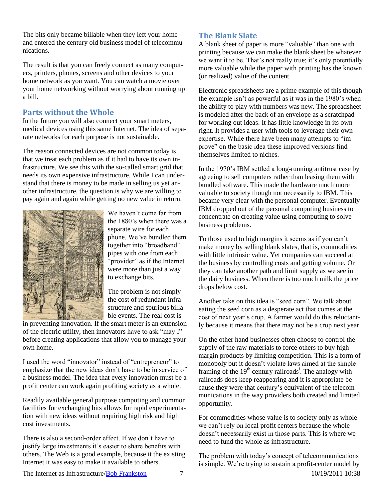The bits only became billable when they left your home and entered the century old business model of telecommunications.

The result is that you can freely connect as many computers, printers, phones, screens and other devices to your home network as you want. You can watch a movie over your home networking without worrying about running up a bill.

## <span id="page-6-0"></span>**Parts without the Whole**

In the future you will also connect your smart meters, medical devices using this same Internet. The idea of separate networks for each purpose is not sustainable.

The reason connected devices are not common today is that we treat each problem as if it had to have its own infrastructure. We see this with the so-called smart grid that needs its own expensive infrastructure. While I can understand that there is money to be made in selling us yet another infrastructure, the question is why we are willing to pay again and again while getting no new value in return.



We haven't come far from the 1880's when there was a separate wire for each phone. We've bundled them together into "broadband" pipes with one from each "provider" as if the Internet were more than just a way to exchange bits.

The problem is not simply the cost of redundant infrastructure and spurious billable events. The real cost is

in preventing innovation. If the smart meter is an extension of the electric utility, then innovators have to ask "may I" before creating applications that allow you to manage your own home.

I used the word "innovator" instead of "entrepreneur" to emphasize that the new ideas don't have to be in service of a business model. The idea that every innovation must be a profit center can work again profiting society as a whole.

Readily available general purpose computing and common facilities for exchanging bits allows for rapid experimentation with new ideas without requiring high risk and high cost investments.

There is also a second-order effect. If we don't have to justify large investments it's easier to share benefits with others. The Web is a good example, because it the existing Internet it was easy to make it available to others.

## <span id="page-6-1"></span>**The Blank Slate**

A blank sheet of paper is more "valuable" than one with printing because we can make the blank sheet be whatever we want it to be. That's not really true; it's only potentially more valuable while the paper with printing has the known (or realized) value of the content.

Electronic spreadsheets are a prime example of this though the example isn't as powerful as it was in the 1980's when the ability to play with numbers was new. The spreadsheet is modeled after the back of an envelope as a scratchpad for working out ideas. It has little knowledge in its own right. It provides a user with tools to leverage their own expertise. While there have been many attempts to "improve" on the basic idea these improved versions find themselves limited to niches.

In the 1970's IBM settled a long-running antitrust case by agreeing to sell computers rather than leasing them with bundled software. This made the hardware much more valuable to society though not necessarily to IBM. This became very clear with the personal computer. Eventually IBM dropped out of the personal computing business to concentrate on creating value using computing to solve business problems.

To those used to high margins it seems as if you can't make money by selling blank slates, that is, commodities with little intrinsic value. Yet companies can succeed at the business by controlling costs and getting volume. Or they can take another path and limit supply as we see in the dairy business. When there is too much milk the price drops below cost.

Another take on this idea is "seed corn". We talk about eating the seed corn as a desperate act that comes at the cost of next year's crop. A farmer would do this reluctantly because it means that there may not be a crop next year.

On the other hand businesses often choose to control the supply of the raw materials to force others to buy high margin products by limiting competition. This is a form of monopoly but it doesn't violate laws aimed at the simple framing of the 19<sup>th</sup> century railroads<sup>i</sup>. The analogy with railroads does keep reappearing and it is appropriate because they were that century's equivalent of the telecommunications in the way providers both created and limited opportunity.

For commodities whose value is to society only as whole we can't rely on local profit centers because the whole doesn't necessarily exist in those parts. This is where we need to fund the whole as infrastructure.

The problem with today's concept of telecommunications is simple. We're trying to sustain a profit-center model by

The Internet as Infrastructure/Bob Frankston 7 10/19/2011 10:38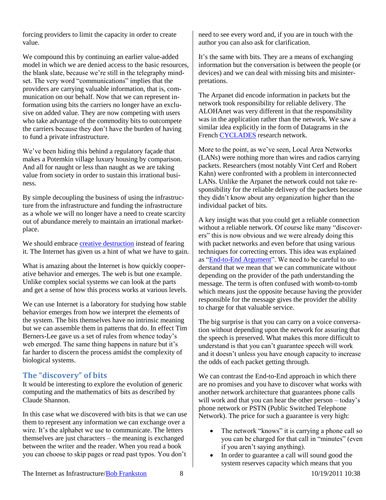forcing providers to limit the capacity in order to create value.

We compound this by continuing an earlier value-added model in which we are denied access to the basic resources, the blank slate, because we're still in the telegraphy mindset. The very word "communications" implies that the providers are carrying valuable information, that is, communication on our behalf. Now that we can represent information using bits the carriers no longer have an exclusive on added value. They are now competing with users who take advantage of the commodity bits to outcompete the carriers because they don't have the burden of having to fund a private infrastructure.

We've been hiding this behind a regulatory façade that makes a Potemkin village luxury housing by comparison. And all for naught or less than naught as we are taking value from society in order to sustain this irrational business.

By simple decoupling the business of using the infrastructure from the infrastructure and funding the infrastructure as a whole we will no longer have a need to create scarcity out of abundance merely to maintain an irrational marketplace.

We should embrace [creative destruction](http://en.wikipedia.org/wiki/Creative_destruction) instead of fearing it. The Internet has given us a hint of what we have to gain.

What is amazing about the Internet is how quickly cooperative behavior and emerges. The web is but one example. Unlike complex social systems we can look at the parts and get a sense of how this process works at various levels.

We can use Internet is a laboratory for studying how stable behavior emerges from how we interpret the elements of the system. The bits themselves have no intrinsic meaning but we can assemble them in patterns that do. In effect Tim Berners-Lee gave us a set of rules from whence today's web emerged. The same thing happens in nature but it's far harder to discern the process amidst the complexity of biological systems.

#### <span id="page-7-0"></span>**The "discovery" of bits**

It would be interesting to explore the evolution of generic computing and the mathematics of bits as described by Claude Shannon.

In this case what we discovered with bits is that we can use them to represent any information we can exchange over a wire. It's the alphabet we use to communicate. The letters themselves are just characters – the meaning is exchanged between the writer and the reader. When you read a book you can choose to skip pages or read past typos. You don't

need to see every word and, if you are in touch with the author you can also ask for clarification.

It's the same with bits. They are a means of exchanging information but the conversation is between the people (or devices) and we can deal with missing bits and misinterpretations.

The Arpanet did encode information in packets but the network took responsibility for reliable delivery. The ALOHAnet was very different in that the responsibility was in the application rather than the network. We saw a similar idea explicitly in the form of Datagrams in the French [CYCLADES](http://en.wikipedia.org/wiki/CYCLADES) research network.

More to the point, as we've seen, Local Area Networks (LANs) were nothing more than wires and radios carrying packets. Researchers (most notably Vint Cerf and Robert Kahn) were confronted with a problem in interconnected LANs. Unlike the Arpanet the network could not take responsibility for the reliable delivery of the packets because they didn't know about any organization higher than the individual packet of bits.

A key insight was that you could get a reliable connection without a reliable network. Of course like many "discoverers" this is now obvious and we were already doing this with packet networks and even before that using various techniques for correcting errors. This idea was explained as ["End-to-End Argument"](http://www.reed.com/dpr/locus/Papers/EndtoEnd.html). We need to be careful to understand that we mean that we can communicate without depending on the provider of the path understanding the message. The term is often confused with womb-to-tomb which means just the opposite because having the provider responsible for the message gives the provider the ability to charge for that valuable service.

The big surprise is that you can carry on a voice conversation without depending upon the network for assuring that the speech is preserved. What makes this more difficult to understand is that you can't guarantee speech will work and it doesn't unless you have enough capacity to increase the odds of each packet getting through.

We can contrast the End-to-End approach in which there are no promises and you have to discover what works with another network architecture that guarantees phone calls will work and that you can hear the other person – today's phone network or PSTN (Public Switched Telephone Network). The price for such a guarantee is very high:

- The network "knows" it is carrying a phone call so you can be charged for that call in "minutes" (even if you aren't saying anything).
- In order to guarantee a call will sound good the system reserves capacity which means that you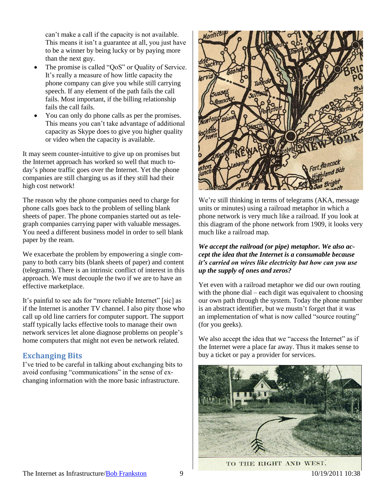can't make a call if the capacity is not available. This means it isn't a guarantee at all, you just have to be a winner by being lucky or by paying more than the next guy.

- The promise is called "QoS" or Quality of Service. It's really a measure of how little capacity the phone company can give you while still carrying speech. If any element of the path fails the call fails. Most important, if the billing relationship fails the call fails.
- You can only do phone calls as per the promises. This means you can't take advantage of additional capacity as Skype does to give you higher quality or video when the capacity is available.

It may seem counter-intuitive to give up on promises but the Internet approach has worked so well that much today's phone traffic goes over the Internet. Yet the phone companies are still charging us as if they still had their high cost network!

The reason why the phone companies need to charge for phone calls goes back to the problem of selling blank sheets of paper. The phone companies started out as telegraph companies carrying paper with valuable messages. You need a different business model in order to sell blank paper by the ream.

We exacerbate the problem by empowering a single company to both carry bits (blank sheets of paper) and content (telegrams). There is an intrinsic conflict of interest in this approach. We must decouple the two if we are to have an effective marketplace.

It's painful to see ads for "more reliable Internet" [sic] as if the Internet is another TV channel. I also pity those who call up old line carriers for computer support. The support staff typically lacks effective tools to manage their own network services let alone diagnose problems on people's home computers that might not even be network related.

## <span id="page-8-0"></span>**Exchanging Bits**

I've tried to be careful in talking about exchanging bits to avoid confusing "communications" in the sense of exchanging information with the more basic infrastructure.



We're still thinking in terms of telegrams (AKA, message units or minutes) using a railroad metaphor in which a phone network is very much like a railroad. If you look at this diagram of the phone network from 1909, it looks very much like a railroad map.

#### *We accept the railroad (or pipe) metaphor. We also accept the idea that the Internet is a consumable because it's carried on wires like electricity but how can you use up the supply of ones and zeros?*

Yet even with a railroad metaphor we did our own routing with the phone dial – each digit was equivalent to choosing our own path through the system. Today the phone number is an abstract identifier, but we mustn't forget that it was an implementation of what is now called "source routing" (for you geeks).

We also accept the idea that we "access the Internet" as if the Internet were a place far away. Thus it makes sense to buy a ticket or pay a provider for services.



TO THE RIGHT AND WEST.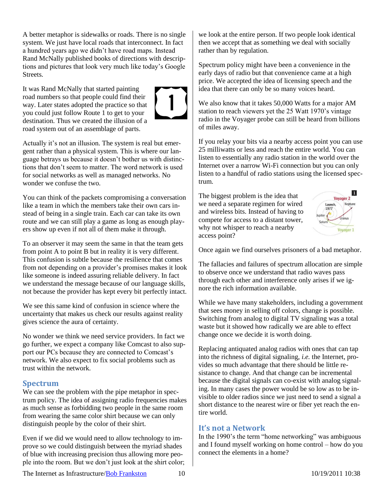A better metaphor is sidewalks or roads. There is no single system. We just have local roads that interconnect. In fact a hundred years ago we didn't have road maps. Instead Rand McNally published books of directions with descriptions and pictures that look very much like today's Google Streets.

It was Rand McNally that started painting road numbers so that people could find their way. Later states adopted the practice so that you could just follow Route 1 to get to your destination. Thus we created the illusion of a road system out of an assemblage of parts.



Actually it's not an illusion. The system is real but emergent rather than a physical system. This is where our language betrays us because it doesn't bother us with distinctions that don't seem to matter. The word network is used for social networks as well as managed networks. No wonder we confuse the two.

You can think of the packets compromising a conversation like a team in which the members take their own cars instead of being in a single train. Each car can take its own route and we can still play a game as long as enough players show up even if not all of them make it through.

To an observer it may seem the same in that the team gets from point A to point B but in reality it is very different. This confusion is subtle because the resilience that comes from not depending on a provider's promises makes it look like someone is indeed assuring reliable delivery. In fact we understand the message because of our language skills, not because the provider has kept every bit perfectly intact.

We see this same kind of confusion in science where the uncertainty that makes us check our results against reality gives science the aura of certainty.

No wonder we think we need service providers. In fact we go further, we expect a company like Comcast to also support our PCs because they are connected to Comcast's network. We also expect to fix social problems such as trust within the network.

#### <span id="page-9-0"></span>**Spectrum**

We can see the problem with the pipe metaphor in spectrum policy. The idea of assigning radio frequencies makes as much sense as forbidding two people in the same room from wearing the same color shirt because we can only distinguish people by the color of their shirt.

Even if we did we would need to allow technology to improve so we could distinguish between the myriad shades of blue with increasing precision thus allowing more people into the room. But we don't just look at the shirt color;

we look at the entire person. If two people look identical then we accept that as something we deal with socially rather than by regulation.

Spectrum policy might have been a convenience in the early days of radio but that convenience came at a high price. We accepted the idea of licensing speech and the idea that there can only be so many voices heard.

We also know that it takes 50,000 Watts for a major AM station to reach viewers yet the 25 Watt 1970's vintage radio in the Voyager probe can still be heard from billions of miles away.

If you relay your bits via a nearby access point you can use 25 milliwatts or less and reach the entire world. You can listen to essentially any radio station in the world over the Internet over a narrow Wi-Fi connection but you can only listen to a handful of radio stations using the licensed spectrum.

The biggest problem is the idea that we need a separate regimen for wired and wireless bits. Instead of having to compete for access to a distant tower, why not whisper to reach a nearby access point?



Once again we find ourselves prisoners of a bad metaphor.

The fallacies and failures of spectrum allocation are simple to observe once we understand that radio waves pass through each other and interference only arises if we ignore the rich information available.

While we have many stakeholders, including a government that sees money in selling off colors, change is possible. Switching from analog to digital TV signaling was a total waste but it showed how radically we are able to effect change once we decide it is worth doing.

Replacing antiquated analog radios with ones that can tap into the richness of digital signaling, *i.e.* the Internet, provides so much advantage that there should be little resistance to change. And that change can be incremental because the digital signals can co-exist with analog signaling. In many cases the power would be so low as to be invisible to older radios since we just need to send a signal a short distance to the nearest wire or fiber yet reach the entire world.

#### <span id="page-9-1"></span>**It's not a Network**

In the 1990's the term "home networking" was ambiguous and I found myself working on home control – how do you connect the elements in a home?

The Internet as Infrastructure/Bob Frankston 10 10/19/2011 10:38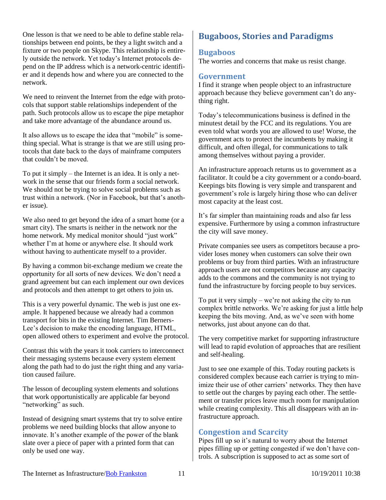One lesson is that we need to be able to define stable relationships between end points, be they a light switch and a fixture or two people on Skype. This relationship is entirely outside the network. Yet today's Internet protocols depend on the IP address which is a network-centric identifier and it depends how and where you are connected to the network.

We need to reinvent the Internet from the edge with protocols that support stable relationships independent of the path. Such protocols allow us to escape the pipe metaphor and take more advantage of the abundance around us.

It also allows us to escape the idea that "mobile" is something special. What is strange is that we are still using protocols that date back to the days of mainframe computers that couldn't be moved.

To put it simply – the Internet is an idea. It is only a network in the sense that our friends form a social network. We should not be trying to solve social problems such as trust within a network. (Nor in Facebook, but that's another issue).

We also need to get beyond the idea of a smart home (or a smart city). The smarts is neither in the network nor the home network. My medical monitor should "just work" whether I'm at home or anywhere else. It should work without having to authenticate myself to a provider.

By having a common bit-exchange medium we create the opportunity for all sorts of new devices. We don't need a grand agreement but can each implement our own devices and protocols and then attempt to get others to join us.

This is a very powerful dynamic. The web is just one example. It happened because we already had a common transport for bits in the existing Internet. Tim Berners-Lee's decision to make the encoding language, HTML, open allowed others to experiment and evolve the protocol.

Contrast this with the years it took carriers to interconnect their messaging systems because every system element along the path had to do just the right thing and any variation caused failure.

The lesson of decoupling system elements and solutions that work opportunistically are applicable far beyond "networking" as such.

Instead of designing smart systems that try to solve entire problems we need building blocks that allow anyone to innovate. It's another example of the power of the blank slate over a piece of paper with a printed form that can only be used one way.

# <span id="page-10-0"></span>**Bugaboos, Stories and Paradigms**

#### <span id="page-10-1"></span>**Bugaboos**

The worries and concerns that make us resist change.

#### <span id="page-10-2"></span>**Government**

I find it strange when people object to an infrastructure approach because they believe government can't do anything right.

Today's telecommunications business is defined in the minutest detail by the FCC and its regulations. You are even told what words you are allowed to use! Worse, the government acts to protect the incumbents by making it difficult, and often illegal, for communications to talk among themselves without paying a provider.

An infrastructure approach returns us to government as a facilitator. It could be a city government or a condo-board. Keepings bits flowing is very simple and transparent and government's role is largely hiring those who can deliver most capacity at the least cost.

It's far simpler than maintaining roads and also far less expensive. Furthermore by using a common infrastructure the city will save money.

Private companies see users as competitors because a provider loses money when customers can solve their own problems or buy from third parties. With an infrastructure approach users are not competitors because any capacity adds to the commons and the community is not trying to fund the infrastructure by forcing people to buy services.

To put it very simply – we're not asking the city to run complex brittle networks. We're asking for just a little help keeping the bits moving. And, as we've seen with home networks, just about anyone can do that.

The very competitive market for supporting infrastructure will lead to rapid evolution of approaches that are resilient and self-healing.

Just to see one example of this. Today routing packets is considered complex because each carrier is trying to minimize their use of other carriers' networks. They then have to settle out the charges by paying each other. The settlement or transfer prices leave much room for manipulation while creating complexity. This all disappears with an infrastructure approach.

## <span id="page-10-3"></span>**Congestion and Scarcity**

Pipes fill up so it's natural to worry about the Internet pipes filling up or getting congested if we don't have controls. A subscription is supposed to act as some sort of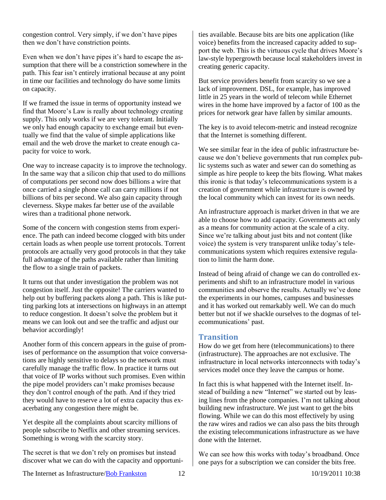congestion control. Very simply, if we don't have pipes then we don't have constriction points.

Even when we don't have pipes it's hard to escape the assumption that there will be a constriction somewhere in the path. This fear isn't entirely irrational because at any point in time our facilities and technology do have some limits on capacity.

If we framed the issue in terms of opportunity instead we find that Moore's Law is really about technology creating supply. This only works if we are very tolerant. Initially we only had enough capacity to exchange email but eventually we find that the value of simple applications like email and the web drove the market to create enough capacity for voice to work.

One way to increase capacity is to improve the technology. In the same way that a silicon chip that used to do millions of computations per second now does billions a wire that once carried a single phone call can carry millions if not billions of bits per second. We also gain capacity through cleverness. Skype makes far better use of the available wires than a traditional phone network.

Some of the concern with congestion stems from experience. The path can indeed become clogged with bits under certain loads as when people use torrent protocols. Torrent protocols are actually very good protocols in that they take full advantage of the paths available rather than limiting the flow to a single train of packets.

It turns out that under investigation the problem was not congestion itself. Just the opposite! The carriers wanted to help out by buffering packets along a path. This is like putting parking lots at intersections on highways in an attempt to reduce congestion. It doesn't solve the problem but it means we can look out and see the traffic and adjust our behavior accordingly!

Another form of this concern appears in the guise of promises of performance on the assumption that voice conversations are highly sensitive to delays so the network must carefully manage the traffic flow. In practice it turns out that voice of IP works without such promises. Even within the pipe model providers can't make promises because they don't control enough of the path. And if they tried they would have to reserve a lot of extra capacity thus exacerbating any congestion there might be.

Yet despite all the complaints about scarcity millions of people subscribe to Netflix and other streaming services. Something is wrong with the scarcity story.

The secret is that we don't rely on promises but instead discover what we can do with the capacity and opportuni-

ties available. Because bits are bits one application (like voice) benefits from the increased capacity added to support the web. This is the virtuous cycle that drives Moore's law-style hypergrowth because local stakeholders invest in creating generic capacity.

But service providers benefit from scarcity so we see a lack of improvement. DSL, for example, has improved little in 25 years in the world of telecom while Ethernet wires in the home have improved by a factor of 100 as the prices for network gear have fallen by similar amounts.

The key is to avoid telecom-metric and instead recognize that the Internet is something different.

We see similar fear in the idea of public infrastructure because we don't believe governments that run complex public systems such as water and sewer can do something as simple as hire people to keep the bits flowing. What makes this ironic is that today's telecommunications system is a creation of government while infrastructure is owned by the local community which can invest for its own needs.

An infrastructure approach is market driven in that we are able to choose how to add capacity. Governments act only as a means for community action at the scale of a city. Since we're talking about just bits and not content (like voice) the system is very transparent unlike today's telecommunications system which requires extensive regulation to limit the harm done.

Instead of being afraid of change we can do controlled experiments and shift to an infrastructure model in various communities and observe the results. Actually we've done the experiments in our homes, campuses and businesses and it has worked out remarkably well. We can do much better but not if we shackle ourselves to the dogmas of telecommunications' past.

#### <span id="page-11-0"></span>**Transition**

How do we get from here (telecommunications) to there (infrastructure). The approaches are not exclusive. The infrastructure in local networks interconnects with today's services model once they leave the campus or home.

In fact this is what happened with the Internet itself. Instead of building a new "Internet" we started out by leasing lines from the phone companies. I'm not talking about building new infrastructure. We just want to get the bits flowing. While we can do this most effectively by using the raw wires and radios we can also pass the bits through the existing telecommunications infrastructure as we have done with the Internet.

We can see how this works with today's broadband. Once one pays for a subscription we can consider the bits free.

The Internet as Infrastructure/Bob Frankston 12 10/19/2011 10:38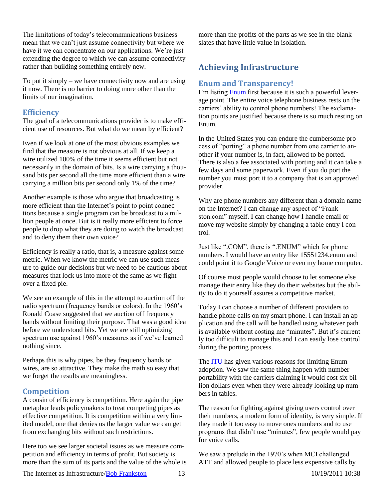The limitations of today's telecommunications business mean that we can't just assume connectivity but where we have it we can concentrate on our applications. We're just extending the degree to which we can assume connectivity rather than building something entirely new.

To put it simply – we have connectivity now and are using it now. There is no barrier to doing more other than the limits of our imagination.

#### <span id="page-12-0"></span>**Efficiency**

The goal of a telecommunications provider is to make efficient use of resources. But what do we mean by efficient?

Even if we look at one of the most obvious examples we find that the measure is not obvious at all. If we keep a wire utilized 100% of the time it seems efficient but not necessarily in the domain of bits. Is a wire carrying a thousand bits per second all the time more efficient than a wire carrying a million bits per second only 1% of the time?

Another example is those who argue that broadcasting is more efficient than the Internet's point to point connections because a single program can be broadcast to a million people at once. But is it really more efficient to force people to drop what they are doing to watch the broadcast and to deny them their own voice?

Efficiency is really a ratio, that is, a measure against some metric. When we know the metric we can use such measure to guide our decisions but we need to be cautious about measures that lock us into more of the same as we fight over a fixed pie.

We see an example of this in the attempt to auction off the radio spectrum (frequency bands or colors). In the 1960's Ronald Coase suggested that we auction off frequency bands without limiting their purpose. That was a good idea before we understood bits. Yet we are still optimizing spectrum use against 1960's measures as if we've learned nothing since.

Perhaps this is why pipes, be they frequency bands or wires, are so attractive. They make the math so easy that we forget the results are meaningless.

## <span id="page-12-1"></span>**Competition**

A cousin of efficiency is competition. Here again the pipe metaphor leads policymakers to treat competing pipes as effective competition. It is competition within a very limited model, one that denies us the larger value we can get from exchanging bits without such restrictions.

Here too we see larger societal issues as we measure competition and efficiency in terms of profit. But society is more than the sum of its parts and the value of the whole is

more than the profits of the parts as we see in the blank slates that have little value in isolation.

# <span id="page-12-2"></span>**Achieving Infrastructure**

#### <span id="page-12-3"></span>**Enum and Transparency!**

I'm listing [Enum](http://en.wikipedia.org/wiki/Telephone_number_mapping) first because it is such a powerful leverage point. The entire voice telephone business rests on the carriers' ability to control phone numbers! The exclamation points are justified because there is so much resting on Enum.

In the United States you can endure the cumbersome process of "porting" a phone number from one carrier to another if your number is, in fact, allowed to be ported. There is also a fee associated with porting and it can take a few days and some paperwork. Even if you do port the number you must port it to a company that is an approved provider.

Why are phone numbers any different than a domain name on the Internet? I can change any aspect of "Frankston.com" myself. I can change how I handle email or move my website simply by changing a table entry I control.

Just like ".COM", there is ".ENUM" which for phone numbers. I would have an entry like 15551234.enum and could point it to Google Voice or even my home computer.

Of course most people would choose to let someone else manage their entry like they do their websites but the ability to do it yourself assures a competitive market.

Today I can choose a number of different providers to handle phone calls on my smart phone. I can install an application and the call will be handled using whatever path is available without costing me "minutes". But it's currently too difficult to manage this and I can easily lose control during the porting process.

The [ITU](http://www.itu.int/) has given various reasons for limiting Enum adoption. We saw the same thing happen with number portability with the carriers claiming it would cost six billion dollars even when they were already looking up numbers in tables.

The reason for fighting against giving users control over their numbers, a modern form of identity, is very simple. If they made it too easy to move ones numbers and to use programs that didn't use "minutes", few people would pay for voice calls.

We saw a prelude in the 1970's when MCI challenged ATT and allowed people to place less expensive calls by

The Internet as Infrastructure/Bob Frankston 13 10/19/2011 10:38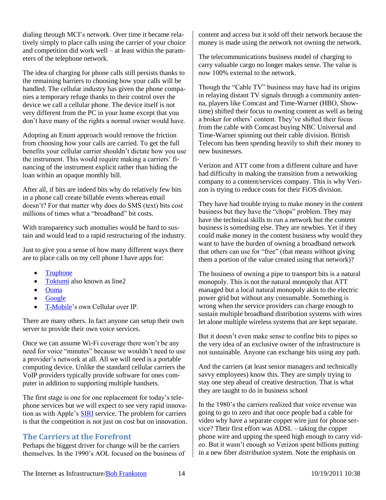dialing through MCI's network. Over time it became relatively simply to place calls using the carrier of your choice and competition did work well – at least within the parameters of the telephone network.

The idea of charging for phone calls still persists thanks to the remaining barriers to choosing how your calls will be handled. The cellular industry has given the phone companies a temporary refuge thanks to their control over the device we call a cellular phone. The device itself is not very different from the PC in your home except that you don't have many of the rights a normal owner would have.

Adopting an Enum approach would remove the friction from choosing how your calls are carried. To get the full benefits your cellular carrier shouldn't dictate how you use the instrument. This would require making a carriers' financing of the instrument explicit rather than hiding the loan within an opaque monthly bill.

After all, if bits are indeed bits why do relatively few bits in a phone call create billable events whereas email doesn't? For that matter why does do SMS (text) bits cost millions of times what a "broadband" bit costs.

With transparency such anomalies would be hard to sustain and would lead to a rapid restructuring of the industry.

Just to give you a sense of how many different ways there are to place calls on my cell phone I have apps for:

- **[Truphone](http://www.truphone.com/)**
- [Toktumi](http://www.toktumi.com/) also known as line2
- [Ooma](http://www.ooma.com/)
- [Google](http://voice.google.com/)
- [T-Mobile'](http://t-mobile.com/)s own Cellular over IP.

There are many others. In fact anyone can setup their own server to provide their own voice services.

Once we can assume Wi-Fi coverage there won't be any need for voice "minutes" because we wouldn't need to use a provider's network at all. All we will need is a portable computing device. Unlike the standard cellular carriers the VoIP providers typically provide software for ones computer in addition to supporting multiple handsets.

The first stage is one for one replacement for today's telephone services but we will expect to see very rapid innovation as with Apple's [SIRI](http://www.apple.com/iphone/features/siri.html) service. The problem for carriers is that the competition is not just on cost but on innovation.

## <span id="page-13-0"></span>**The Carriers at the Forefront**

Perhaps the biggest driver for change will be the carriers themselves. In the 1990's AOL focused on the business of content and access but it sold off their network because the money is made using the network not owning the network.

The telecommunications business model of charging to carry valuable cargo no longer makes sense. The value is now 100% external to the network.

Though the "Cable TV" business may have had its origins in relaying distant TV signals through a community antenna, players like Comcast and Time-Warner (HBO, Showtime) shifted their focus to owning content as well as being a broker for others' content. They've shifted their focus from the cable with Comcast buying NBC Universal and Time-Warner spinning out their cable division. British Telecom has been spending heavily to shift their money to new businesses.

Verizon and ATT come from a different culture and have had difficulty in making the transition from a networking company to a content/services company. This is why Verizon is trying to reduce costs for their FiOS division.

They have had trouble trying to make money in the content business but they have the "chops" problem. They may have the technical skills to run a network but the content business is something else. They are newbies. Yet if they could make money in the content business why would they want to have the burden of owning a broadband network that others can use for "free" (that means without giving them a portion of the value created using that network)?

The business of owning a pipe to transport bits is a natural monopoly. This is not the natural monopoly that ATT managed but a local natural monopoly akin to the electric power grid but without any consumable. Something is wrong when the service providers can charge enough to sustain multiple broadband distribution systems with wires let alone multiple wireless systems that are kept separate.

But it doesn't even make sense to confine bits to pipes so the very idea of an exclusive owner of the infrastructure is not sustainable. Anyone can exchange bits using any path.

And the carriers (at least senior managers and technically savvy employees) know this. They are simply trying to stay one step ahead of creative destruction. That is what they are taught to do in business school

In the 1980's the carriers realized that voice revenue was going to go to zero and that once people had a cable for video why have a separate copper wire just for phone service? Their first effort was ADSL – taking the copper phone wire and upping the speed high enough to carry video. But it wasn't enough so Verizon spent billions putting in a new fiber *distribution* system. Note the emphasis on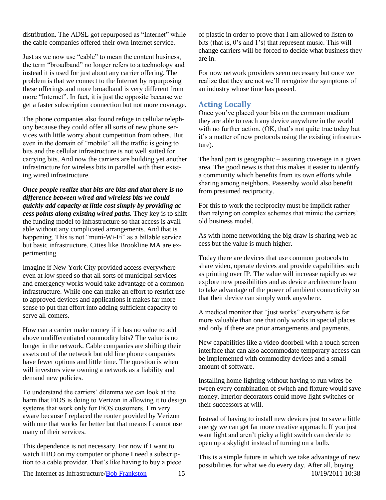distribution. The ADSL got repurposed as "Internet" while the cable companies offered their own Internet service.

Just as we now use "cable" to mean the content business, the term "broadband" no longer refers to a technology and instead it is used for just about any carrier offering. The problem is that we connect to the Internet by repurposing these offerings and more broadband is very different from more "Internet". In fact, it is just the opposite because we get a faster subscription connection but not more coverage.

The phone companies also found refuge in cellular telephony because they could offer all sorts of new phone services with little worry about competition from others. But even in the domain of "mobile" all the traffic is going to bits and the cellular infrastructure is not well suited for carrying bits. And now the carriers are building yet another infrastructure for wireless bits in parallel with their existing wired infrastructure.

*Once people realize that bits are bits and that there is no difference between wired and wireless bits we could quickly add capacity at little cost simply by providing access points along existing wired paths.* They key is to shift the funding model to infrastructure so that access is available without any complicated arrangements. And that is happening. This is not "muni-Wi-Fi" as a billable service but basic infrastructure. Cities like Brookline MA are experimenting.

Imagine if New York City provided access everywhere even at low speed so that all sorts of municipal services and emergency works would take advantage of a common infrastructure. While one can make an effort to restrict use to approved devices and applications it makes far more sense to put that effort into adding sufficient capacity to serve all comers.

How can a carrier make money if it has no value to add above undifferentiated commodity bits? The value is no longer in the network. Cable companies are shifting their assets out of the network but old line phone companies have fewer options and little time. The question is when will investors view owning a network as a liability and demand new policies.

To understand the carriers' dilemma we can look at the harm that FiOS is doing to Verizon in allowing it to design systems that work only for FiOS customers. I'm very aware because I replaced the router provided by Verizon with one that works far better but that means I cannot use many of their services.

This dependence is not necessary. For now if I want to watch HBO on my computer or phone I need a subscription to a cable provider. That's like having to buy a piece of plastic in order to prove that I am allowed to listen to bits (that is, 0's and 1's) that represent music. This will change carriers will be forced to decide what business they are in.

For now network providers seem necessary but once we realize that they are not we'll recognize the symptoms of an industry whose time has passed.

#### <span id="page-14-0"></span>**Acting Locally**

Once you've placed your bits on the common medium they are able to reach any device anywhere in the world with no further action. (OK, that's not quite true today but it's a matter of new protocols using the existing infrastructure).

The hard part is geographic – assuring coverage in a given area. The good news is that this makes it easier to identify a community which benefits from its own efforts while sharing among neighbors. Passersby would also benefit from presumed reciprocity.

For this to work the reciprocity must be implicit rather than relying on complex schemes that mimic the carriers' old business model.

As with home networking the big draw is sharing web access but the value is much higher.

Today there are devices that use common protocols to share video, operate devices and provide capabilities such as printing over IP. The value will increase rapidly as we explore new possibilities and as device architecture learn to take advantage of the power of ambient connectivity so that their device can simply work anywhere.

A medical monitor that "just works" everywhere is far more valuable than one that only works in special places and only if there are prior arrangements and payments.

New capabilities like a video doorbell with a touch screen interface that can also accommodate temporary access can be implemented with commodity devices and a small amount of software.

Installing home lighting without having to run wires between every combination of switch and fixture would save money. Interior decorators could move light switches or their successors at will.

Instead of having to install new devices just to save a little energy we can get far more creative approach. If you just want light and aren't picky a light switch can decide to open up a skylight instead of turning on a bulb.

The Internet as Infrastructure/Bob Frankston 15 10/19/2011 10:38 This is a simple future in which we take advantage of new possibilities for what we do every day. After all, buying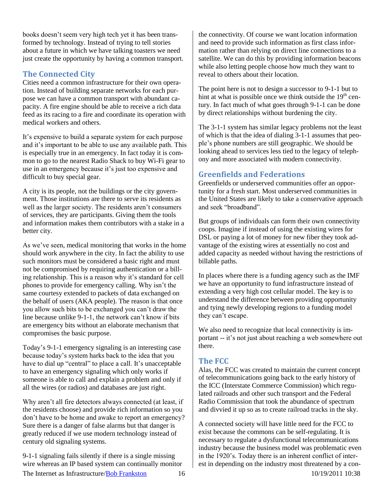books doesn't seem very high tech yet it has been transformed by technology. Instead of trying to tell stories about a future in which we have talking toasters we need just create the opportunity by having a common transport.

#### <span id="page-15-0"></span>**The Connected City**

Cities need a common infrastructure for their own operation. Instead of building separate networks for each purpose we can have a common transport with abundant capacity. A fire engine should be able to receive a rich data feed as its racing to a fire and coordinate its operation with medical workers and others.

It's expensive to build a separate system for each purpose and it's important to be able to use any available path. This is especially true in an emergency. In fact today it is common to go to the nearest Radio Shack to buy Wi-Fi gear to use in an emergency because it's just too expensive and difficult to buy special gear.

A city is its people, not the buildings or the city government. Those institutions are there to serve its residents as well as the larger society. The residents aren't consumers of services, they are participants. Giving them the tools and information makes them contributors with a stake in a better city.

As we've seen, medical monitoring that works in the home should work anywhere in the city. In fact the ability to use such monitors must be considered a basic right and must not be compromised by requiring authentication or a billing relationship. This is a reason why it's standard for cell phones to provide for emergency calling. Why isn't the same courtesy extended to packets of data exchanged on the behalf of users (AKA people). The reason is that once you allow such bits to be exchanged you can't draw the line because unlike 9-1-1, the network can't know if bits are emergency bits without an elaborate mechanism that compromises the basic purpose.

Today's 9-1-1 emergency signaling is an interesting case because today's system harks back to the idea that you have to dial up "central" to place a call. It's unacceptable to have an emergency signaling which only works if someone is able to call and explain a problem and only if all the wires (or radios) and databases are just right.

Why aren't all fire detectors always connected (at least, if the residents choose) and provide rich information so you don't have to be home and awake to report an emergency? Sure there is a danger of false alarms but that danger is greatly reduced if we use modern technology instead of century old signaling systems.

The Internet as Infrastructure/Bob Frankston 16 10/19/2011 10:38 9-1-1 signaling fails silently if there is a single missing wire whereas an IP based system can continually monitor

the connectivity. Of course we want location information and need to provide such information as first class information rather than relying on direct line connections to a satellite. We can do this by providing information beacons while also letting people choose how much they want to reveal to others about their location.

The point here is not to design a successor to 9-1-1 but to hint at what is possible once we think outside the  $19<sup>th</sup>$  century. In fact much of what goes through 9-1-1 can be done by direct relationships without burdening the city.

The 3-1-1 system has similar legacy problems not the least of which is that the idea of dialing 3-1-1 assumes that people's phone numbers are still geographic. We should be looking ahead to services less tied to the legacy of telephony and more associated with modern connectivity.

## <span id="page-15-1"></span>**Greenfields and Federations**

Greenfields or underserved communities offer an opportunity for a fresh start. Most underserved communities in the United States are likely to take a conservative approach and seek "broadband".

But groups of individuals can form their own connectivity coops. Imagine if instead of using the existing wires for DSL or paying a lot of money for new fiber they took advantage of the existing wires at essentially no cost and added capacity as needed without having the restrictions of billable paths.

In places where there is a funding agency such as the IMF we have an opportunity to fund infrastructure instead of extending a very high cost cellular model. The key is to understand the difference between providing opportunity and tying newly developing regions to a funding model they can't escape.

We also need to recognize that local connectivity is important -- it's not just about reaching a web somewhere out there.

## <span id="page-15-2"></span>**The FCC**

Alas, the FCC was created to maintain the current concept of telecommunications going back to the early history of the ICC (Interstate Commerce Commission) which regulated railroads and other such transport and the Federal Radio Commission that took the abundance of spectrum and divvied it up so as to create railroad tracks in the sky.

A connected society will have little need for the FCC to exist because the commons can be self-regulating. It is necessary to regulate a dysfunctional telecommunications industry because the business model was problematic even in the 1920's. Today there is an inherent conflict of interest in depending on the industry most threatened by a con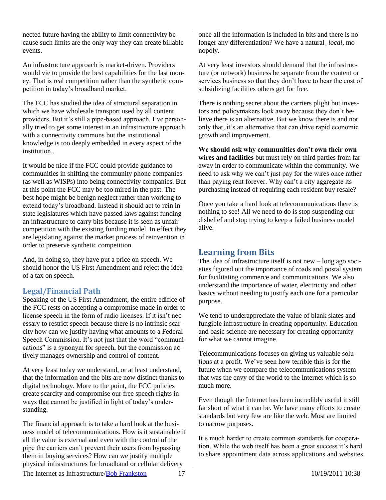nected future having the ability to limit connectivity because such limits are the only way they can create billable events.

An infrastructure approach is market-driven. Providers would vie to provide the best capabilities for the last money. That is real competition rather than the synthetic competition in today's broadband market.

The FCC has studied the idea of structural separation in which we have wholesale transport used by all content providers. But it's still a pipe-based approach. I've personally tried to get some interest in an infrastructure approach with a connectivity commons but the institutional knowledge is too deeply embedded in every aspect of the institution..

It would be nice if the FCC could provide guidance to communities in shifting the community phone companies (as well as WISPs) into being connectivity companies. But at this point the FCC may be too mired in the past. The best hope might be benign neglect rather than working to extend today's broadband. Instead it should act to rein in state legislatures which have passed laws against funding an infrastructure to carry bits because it is seen as unfair competition with the existing funding model. In effect they are legislating against the market process of reinvention in order to preserve synthetic competition.

And, in doing so, they have put a price on speech. We should honor the US First Amendment and reject the idea of a tax on speech.

## <span id="page-16-0"></span>**Legal/Financial Path**

Speaking of the US First Amendment, the entire edifice of the FCC rests on accepting a compromise made in order to license speech in the form of radio licenses. If it isn't necessary to restrict speech because there is no intrinsic scarcity how can we justify having what amounts to a Federal Speech Commission. It's not just that the word "communications" is a synonym for speech, but the commission actively manages ownership and control of content.

At very least today we understand, or at least understand, that the information and the bits are now distinct thanks to digital technology. More to the point, the FCC policies create scarcity and compromise our free speech rights in ways that cannot be justified in light of today's understanding.

The financial approach is to take a hard look at the business model of telecommunications. How is it sustainable if all the value is external and even with the control of the pipe the carriers can't prevent their users from bypassing them in buying services? How can we justify multiple physical infrastructures for broadband or cellular delivery

once all the information is included in bits and there is no longer any differentiation? We have a natural¸ *local*, monopoly.

At very least investors should demand that the infrastructure (or network) business be separate from the content or services business so that they don't have to bear the cost of subsidizing facilities others get for free.

There is nothing secret about the carriers plight but investors and policymakers look away because they don't believe there is an alternative. But we know there is and not only that, it's an alternative that can drive rapid economic growth and improvement.

**We should ask why communities don't own their own wires and facilities** but must rely on third parties from far away in order to communicate within the community. We need to ask why we can't just pay for the wires once rather than paying rent forever. Why can't a city aggregate its purchasing instead of requiring each resident buy resale?

Once you take a hard look at telecommunications there is nothing to see! All we need to do is stop suspending our disbelief and stop trying to keep a failed business model alive.

## <span id="page-16-1"></span>**Learning from Bits**

The idea of infrastructure itself is not new – long ago societies figured out the importance of roads and postal system for facilitating commerce and communications. We also understand the importance of water, electricity and other basics without needing to justify each one for a particular purpose.

We tend to underappreciate the value of blank slates and fungible infrastructure in creating opportunity. Education and basic science are necessary for creating opportunity for what we cannot imagine.

Telecommunications focuses on giving us valuable solutions at a profit. We've seen how terrible this is for the future when we compare the telecommunications system that was the envy of the world to the Internet which is so much more.

Even though the Internet has been incredibly useful it still far short of what it can be. We have many efforts to create standards but very few are like the web. Most are limited to narrow purposes.

It's much harder to create common standards for cooperation. While the web itself has been a great success it's hard to share appointment data across applications and websites.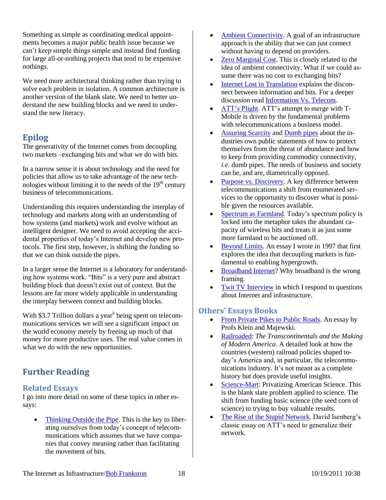Something as simple as coordinating medical appointments becomes a major public health issue because we can't keep simple things simple and instead find funding for large all-or-nothing projects that tend to be expensive nothings.

We need more architectural thinking rather than trying to solve each problem in isolation. A common architecture is another version of the blank slate. We need to better understand the new building blocks and we need to understand the new literacy.

# <span id="page-17-0"></span>**Epilog**

The generativity of the Internet comes from decoupling two markets –exchanging bits and what we do with bits.

In a narrow sense it is about technology and the need for policies that allow us to take advantage of the new technologies without limiting it to the needs of the  $19<sup>th</sup>$  century business of telecommunications.

Understanding this requires understanding the interplay of technology and markets along with an understanding of how systems (and markets) work and evolve without an intelligent designer. We need to avoid accepting the accidental properties of today's Internet and develop new protocols. The first step, however, is shifting the funding so that we can think outside the pipes.

In a larger sense the Internet is a laboratory for understanding how systems work. "Bits" is a very pure and abstract building block that doesn't exist out of context. But the lessons are far more widely applicable in understanding the interplay between context and building blocks.

With \$3.7 Trillion dollars a year<sup>ii</sup> being spent on telecommunications services we will see a significant impact on the world economy merely by freeing up much of that money for more productive uses. The real value comes in what we do with the new opportunities.

# <span id="page-17-1"></span>**Further Reading**

## <span id="page-17-2"></span>**Related Essays**

I go into more detail on some of these topics in other essays:

 [Thinking Outside the Pipe.](http://rmf.vc/ThinkingOutsideThePipe?x=iai) This is the key to liberating ourselves from today's concept of telecommunications which assumes that we have companies that convey meaning rather than facilitating the movement of bits.

- [Ambient Connectivity.](http://rmf.vc/AmbientConnectivity?x=iai) A goal of an infrastructure approach is the ability that we can just connect without having to depend on providers.
- [Zero Marginal Cost.](http://rmf.vc/ZMC?x=iai) This is closely related to the idea of ambient connectivity. What if we could assume there was no cost to exchanging bits?
- [Internet Lost in Translation](http://rmf.vc/InternetLostInTranslation?x=iai) explains the disconnect between information and bits. For a deeper discussion read [Information Vs. Telecom.](http://rmf.vc/InformationVsTelecom?x=iai)
- [ATT's Plight.](http://rmf.vc/Plight?x=iai) ATT's attempt to merge with T-Mobile is driven by the fundamental problems with telecommunications a business model.
- [Assuring Scarcity](http://rmf.vc/AssuringScarcity?x=iai) and [Dumb pipes](http://rmf.vc/DumbPipes?x=iai) about the industries own public statements of how to protect themselves from the threat of abundance and how to keep from providing commodity connectivity, *i.e.* dumb pipes. The needs of business and society can be, and are, diametrically opposed.
- [Purpose vs. Discovery.](http://rmf.vc/IPPvD?x=iai) A key difference between telecommunications a shift from enumerated services to the opportunity to discover what is possible given the resources available.
- [Spectrum as Farmland.](http://rmf.vc/SD?x=iai) Today's spectrum policy is locked into the metaphor takes the abundant capacity of wireless bits and treats it as just some more farmland to be auctioned off.
- [Beyond Limits.](http://rmf.vc/BeyondLimits?x=iai) An essay I wrote in 1997 that first explores the idea that decoupling markets is fundamental to enabling hypergrowth.
- [Broadband Internet?](htp://rmf.vc/SimpyConnected?x=iai) Why broadband is the wrong framing.
- [Twit TV Interview](http://rmf.vc/TwitTV2011?x=iai) in which I respond to questions about Internet and infrastructure.

# <span id="page-17-3"></span>**Others' Essays Books**

- [From Private Pikes to Public Roads.](http://rmf.vc/TurnPikes?x=iai) An essay by Profs Klein and Majewski.
- [Railroaded:](http://www.amazon.com/exec/obidos/ASIN/0393061264/BobFrankston) *The Transcontinentals and the Making of Modern America*. A detailed look at how the countries (western) railroad policies shaped today's America and, in particular, the telecommunications industry. It's not meant as a complete history but does provide useful insights.
- [Science-Mart:](http://www.amazon.com/exec/obidos/asin/0674046463/BobFrankston) Privatizing American Science. This is the blank slate problem applied to science. The shift from funding basic science (the seed corn of science) to trying to buy valuable results.
- [The Rise of the Stupid Network.](http://isen.com/stupid.html) David Isenberg's classic essay on ATT's need to generalize their network.